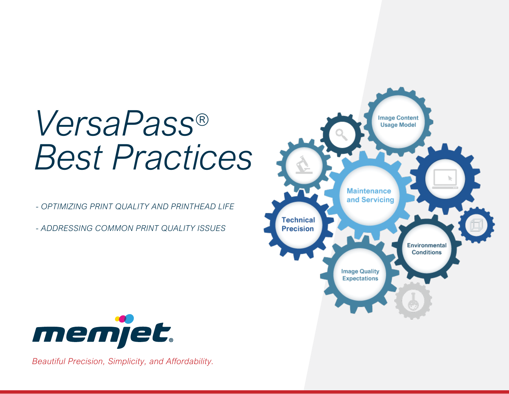# *VersaPass® Best Practices*

*- OPTIMIZING PRINT QUALITY AND PRINTHEAD LIFE*

*- ADDRESSING COMMON PRINT QUALITY ISSUES*





*Beautiful Precision, Simplicity, and Affordability.*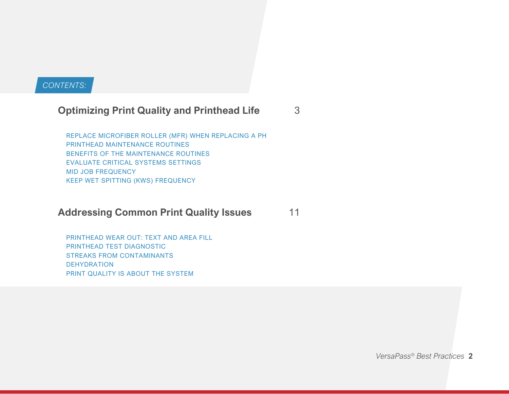#### *CONTENTS:*

#### **Optimizing Print Quality and Printhead Life** 3

 REPLACE MICROFIBER ROLLER (MFR) WHEN REPLACING A PH PRINTHEAD MAINTENANCE ROUTINES BENEFITS OF THE MAINTENANCE ROUTINES EVALUATE CRITICAL SYSTEMS SETTINGS MID JOB FREQUENCY KEEP WET SPITTING (KWS) FREQUENCY

#### **Addressing Common Print Quality Issues** 11

 PRINTHEAD WEAR OUT: TEXT AND AREA FILL PRINTHEAD TEST DIAGNOSTIC STREAKS FROM CONTAMINANTS DEHYDRATION PRINT QUALITY IS ABOUT THE SYSTEM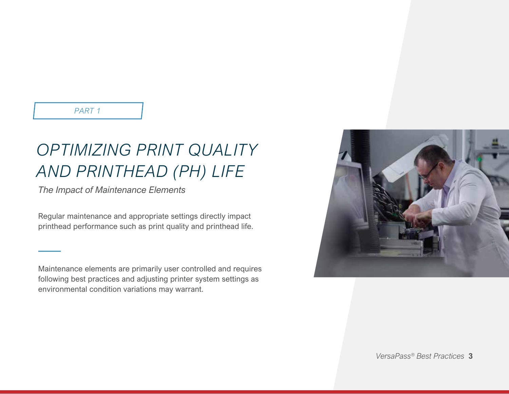*PART 1*

### *OPTIMIZING PRINT QUALITY AND PRINTHEAD (PH) LIFE*

*The Impact of Maintenance Elements*

Regular maintenance and appropriate settings directly impact printhead performance such as print quality and printhead life.

Maintenance elements are primarily user controlled and requires following best practices and adjusting printer system settings as environmental condition variations may warrant.

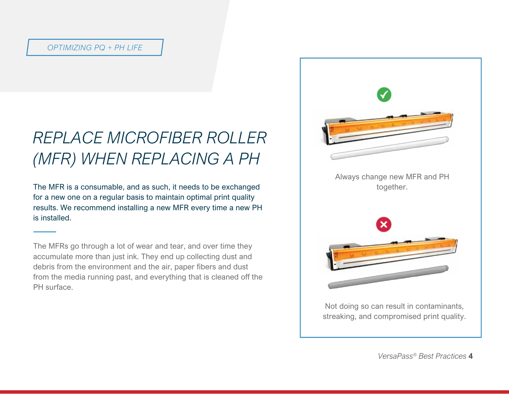### *REPLACE MICROFIBER ROLLER (MFR) WHEN REPLACING A PH*

The MFR is a consumable, and as such, it needs to be exchanged for a new one on a regular basis to maintain optimal print quality results. We recommend installing a new MFR every time a new PH is installed.

The MFRs go through a lot of wear and tear, and over time they accumulate more than just ink. They end up collecting dust and debris from the environment and the air, paper fibers and dust from the media running past, and everything that is cleaned off the PH surface.

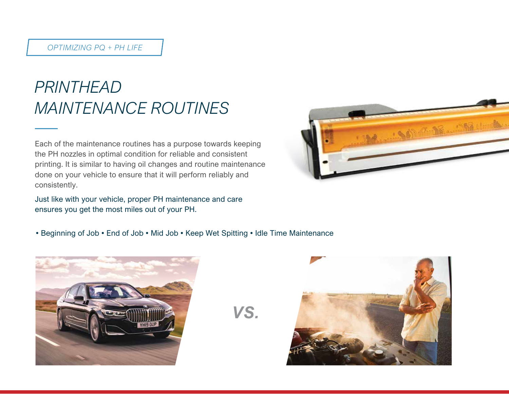### *PRINTHEAD MAINTENANCE ROUTINES*

Each of the maintenance routines has a purpose towards keeping the PH nozzles in optimal condition for reliable and consistent printing. It is similar to having oil changes and routine maintenance done on your vehicle to ensure that it will perform reliably and consistently.

Just like with your vehicle, proper PH maintenance and care ensures you get the most miles out of your PH.



• Beginning of Job • End of Job • Mid Job • Keep Wet Spitting • Idle Time Maintenance



*VS.*

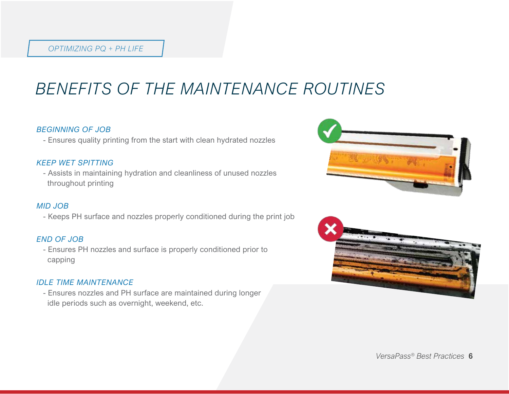### *BENEFITS OF THE MAINTENANCE ROUTINES*

#### *BEGINNING OF JOB*

- Ensures quality printing from the start with clean hydrated nozzles

#### *KEEP WET SPITTING*

 - Assists in maintaining hydration and cleanliness of unused nozzles throughout printing

#### *MID JOB*

- Keeps PH surface and nozzles properly conditioned during the print job **B**

#### *END OF JOB*

 - Ensures PH nozzles and surface is properly conditioned prior to capping

#### *IDLE TIME MAINTENANCE*

 - Ensures nozzles and PH surface are maintained during longer idle periods such as overnight, weekend, etc.



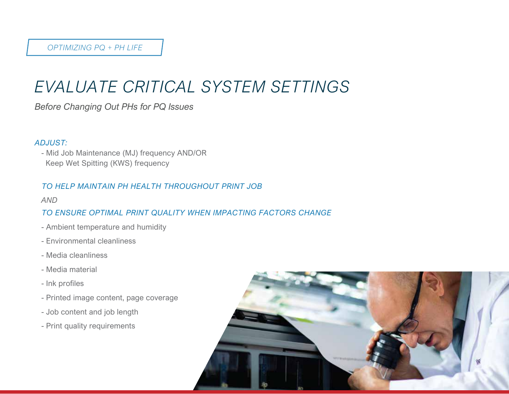### *EVALUATE CRITICAL SYSTEM SETTINGS*

*Before Changing Out PHs for PQ Issues*

#### *ADJUST:*

 - Mid Job Maintenance (MJ) frequency AND/OR Keep Wet Spitting (KWS) frequency

#### *TO HELP MAINTAIN PH HEALTH THROUGHOUT PRINT JOB*

#### *AND*

#### *TO ENSURE OPTIMAL PRINT QUALITY WHEN IMPACTING FACTORS CHANGE*

- Ambient temperature and humidity
- Environmental cleanliness
- Media cleanliness
- Media material
- Ink profiles
- Printed image content, page coverage
- Job content and job length
- Print quality requirements

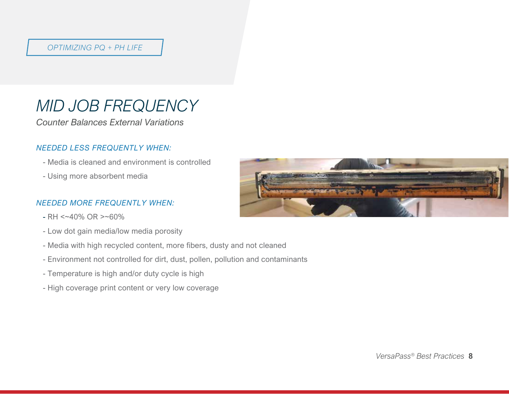### *MID JOB FREQUENCY*

*Counter Balances External Variations* 

#### *NEEDED LESS FREQUENTLY WHEN:*

- Media is cleaned and environment is controlled
- Using more absorbent media

#### *NEEDED MORE FREQUENTLY WHEN:*

- $-RH < 40\%$  OR  $> 60\%$
- Low dot gain media/low media porosity
- Media with high recycled content, more fibers, dusty and not cleaned
- Environment not controlled for dirt, dust, pollen, pollution and contaminants
- Temperature is high and/or duty cycle is high
- High coverage print content or very low coverage

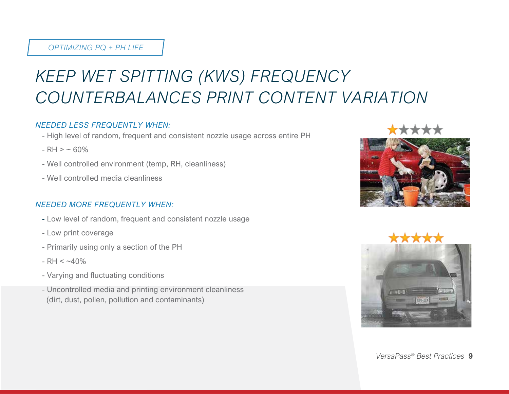## *KEEP WET SPITTING (KWS) FREQUENCY COUNTERBALANCES PRINT CONTENT VARIATION*

#### *NEEDED LESS FREQUENTLY WHEN:*

- High level of random, frequent and consistent nozzle usage across entire PH
- $-RH > ~ 60%$
- Well controlled environment (temp, RH, cleanliness)
- Well controlled media cleanliness

#### *NEEDED MORE FREQUENTLY WHEN:*

- Low level of random, frequent and consistent nozzle usage
- Low print coverage
- Primarily using only a section of the PH
- $-RH < -40%$
- Varying and fluctuating conditions
- Uncontrolled media and printing environment cleanliness (dirt, dust, pollen, pollution and contaminants)



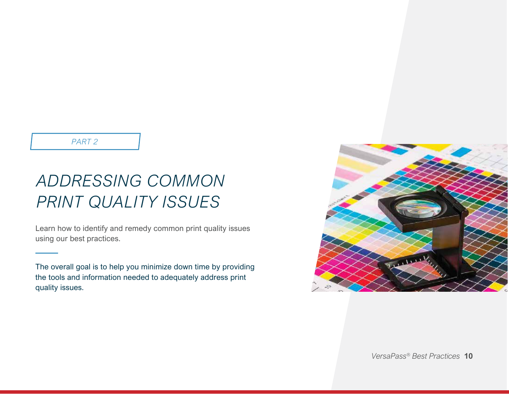*PART 2*

### **PART 2 ADDRESSING COMMON PRINT QUALITY ISSUES** *ADDRESSING COMMON PRINT QUALITY ISSUES*

Learn how to identify and remedy common print quality issues using our best practices.

The overall goal is to help you minimize down time by providing the tools and information needed to adequately address print quality issues.

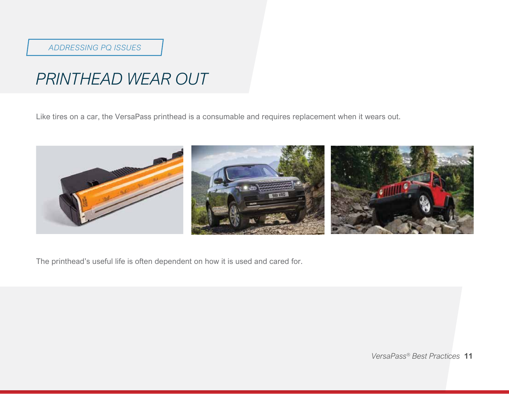#### *ADDRESSING PQ ISSUES*

### *PRINTHEAD WEAR OUT*

Like tires on a car, the VersaPass printhead is a consumable and requires replacement when it wears out.



The printhead's useful life is often dependent on how it is used and cared for.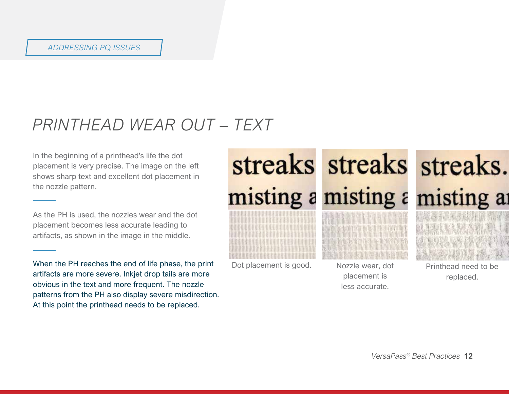### *PRINTHEAD WEAR OUT – TEXT*

In the beginning of a printhead's life the dot placement is very precise. The image on the left shows sharp text and excellent dot placement in the nozzle pattern.

As the PH is used, the nozzles wear and the dot placement becomes less accurate leading to artifacts, as shown in the image in the middle.

When the PH reaches the end of life phase, the print artifacts are more severe. Inkjet drop tails are more obvious in the text and more frequent. The nozzle patterns from the PH also display severe misdirection. At this point the printhead needs to be replaced.

misting a misting a



Dot placement is good. Nozzle wear, dot



placement is less accurate.

streaks streaks streaks. misting a

Printhead need to be replaced.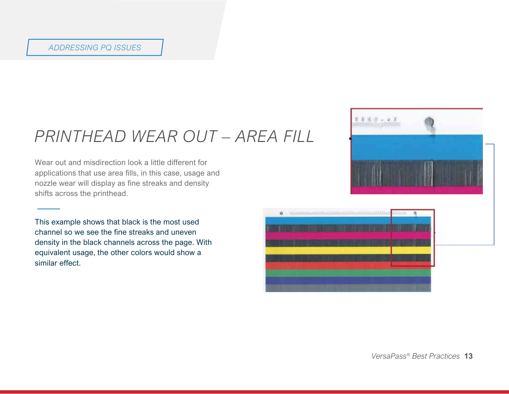#### *ADDRESSING PQ ISSUES*

### *PRINTHEAD WEAR OUT – AREA FILL*

Wear out and misdirection look a little different for applications that use area fills, in this case, usage and nozzle wear will display as fine streaks and density shifts across the printhead.

This example shows that black is the most used channel so we see the fine streaks and uneven density in the black channels across the page. With equivalent usage, the other colors would show a similar effect.



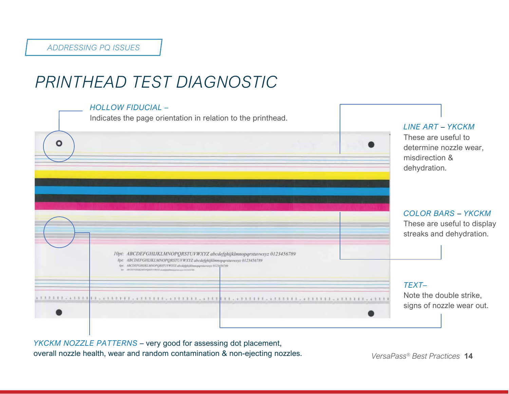### *PRINTHEAD TEST DIAGNOSTIC*



*YKCKM NOZZLE PATTERNS* – very good for assessing dot placement, overall nozzle health, wear and random contamination & non-ejecting nozzles.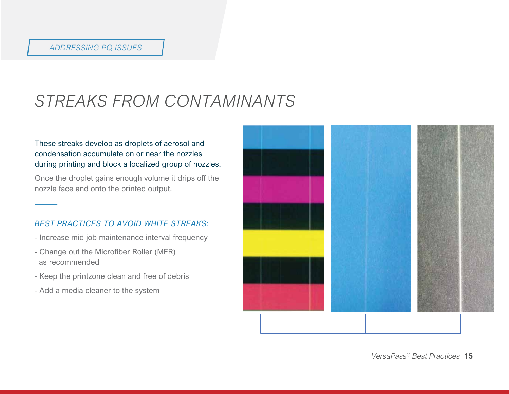### *STREAKS FROM CONTAMINANTS*

#### These streaks develop as droplets of aerosol and condensation accumulate on or near the nozzles during printing and block a localized group of nozzles.

Once the droplet gains enough volume it drips off the nozzle face and onto the printed output.

#### *BEST PRACTICES TO AVOID WHITE STREAKS:*

- Increase mid job maintenance interval frequency
- Change out the Microfiber Roller (MFR) as recommended
- Keep the printzone clean and free of debris
- Add a media cleaner to the system

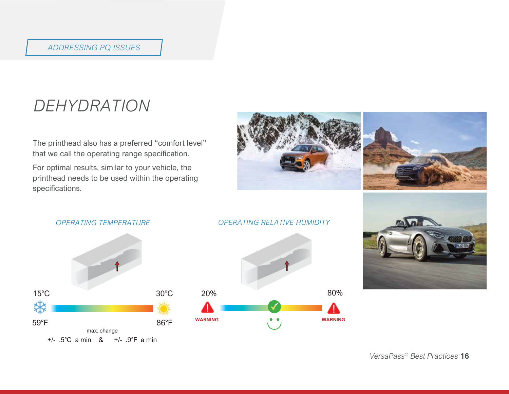### *DEHYDRATION*

The printhead also has a preferred "comfort level" that we call the operating range specification.

For optimal results, similar to your vehicle, the printhead needs to be used within the operating specifications.





#### *OPERATING RELATIVE HUMIDITY*



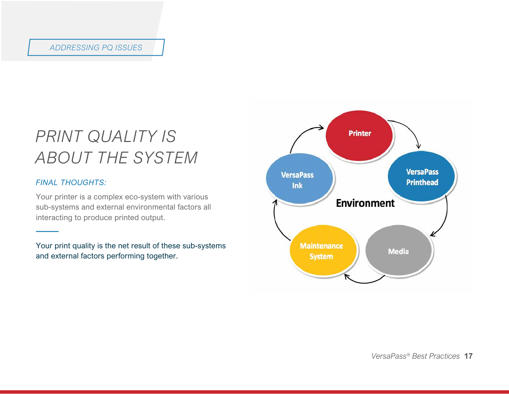#### *ADDRESSING PQ ISSUES*

### *PRINT QUALITY IS ABOUT THE SYSTEM*

#### *FINAL THOUGHTS:*

Your printer is a complex eco-system with various sub-systems and external environmental factors all interacting to produce printed output.

Your print quality is the net result of these sub-systems and external factors performing together.